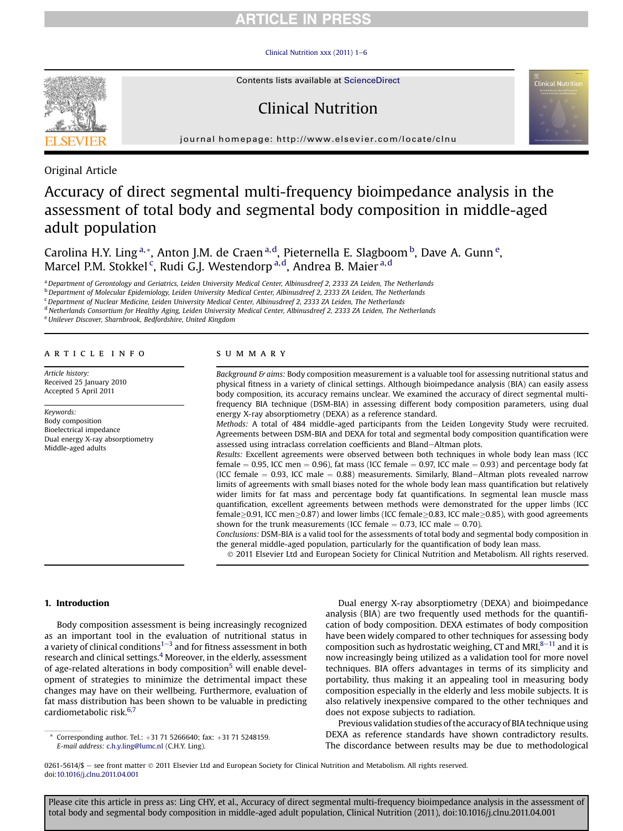#### Clinical Nutrition xxx (2011)  $1-6$  $1-6$



Contents lists available at ScienceDirect

# Clinical Nutrition



journal homepage:<http://www.elsevier.com/locate/clnu>

Original Article

# Accuracy of direct segmental multi-frequency bioimpedance analysis in the assessment of total body and segmental body composition in middle-aged adult population

Carolina H.Y. Ling <sup>a, \*</sup>, Anton J.M. de Craen <sup>a, d</sup>, Pieternella E. Slagboom <sup>b</sup>, Dave A. Gunn <sup>e</sup>, Marcel P.M. Stokkel<sup>c</sup>, Rudi G.J. Westendorp<sup>a,d</sup>, Andrea B. Maier<sup>a,d</sup>

a Department of Gerontology and Geriatrics, Leiden University Medical Center, Albinusdreef 2, 2333 ZA Leiden, The Netherlands

<sup>b</sup>Department of Molecular Epidemiology, Leiden University Medical Center, Albinusdreef 2, 2333 ZA Leiden, The Netherlands

 $c$ Department of Nuclear Medicine, Leiden University Medical Center, Albinusdreef 2, 2333 ZA Leiden, The Netherlands

 $d$  Netherlands Consortium for Healthy Aging, Leiden University Medical Center, Albinusdreef 2, 2333 ZA Leiden, The Netherlands

<sup>e</sup>Unilever Discover, Sharnbrook, Bedfordshire, United Kingdom

#### article info

Article history: Received 25 January 2010 Accepted 5 April 2011

#### Keywords:

Body composition Bioelectrical impedance Dual energy X-ray absorptiometry Middle-aged adults

#### summary

Background  $\Theta$  aims: Body composition measurement is a valuable tool for assessing nutritional status and physical fitness in a variety of clinical settings. Although bioimpedance analysis (BIA) can easily assess body composition, its accuracy remains unclear. We examined the accuracy of direct segmental multifrequency BIA technique (DSM-BIA) in assessing different body composition parameters, using dual energy X-ray absorptiometry (DEXA) as a reference standard.

Methods: A total of 484 middle-aged participants from the Leiden Longevity Study were recruited. Agreements between DSM-BIA and DEXA for total and segmental body composition quantification were assessed using intraclass correlation coefficients and Bland-Altman plots.

Results: Excellent agreements were observed between both techniques in whole body lean mass (ICC female  $= 0.95$ , ICC men  $= 0.96$ ), fat mass (ICC female  $= 0.97$ , ICC male  $= 0.93$ ) and percentage body fat (ICC female  $= 0.93$ , ICC male  $= 0.88$ ) measurements. Similarly, Bland–Altman plots revealed narrow limits of agreements with small biases noted for the whole body lean mass quantification but relatively wider limits for fat mass and percentage body fat quantifications. In segmental lean muscle mass quantification, excellent agreements between methods were demonstrated for the upper limbs (ICC  $\mathsf{female} \geq 0.91$ , ICC men $\geq 0.87$ ) and lower limbs (ICC female $\geq 0.83$ , ICC male $\geq 0.85$ ), with good agreements shown for the trunk measurements (ICC female  $= 0.73$ , ICC male  $= 0.70$ ).

Conclusions: DSM-BIA is a valid tool for the assessments of total body and segmental body composition in the general middle-aged population, particularly for the quantification of body lean mass.

2011 Elsevier Ltd and European Society for Clinical Nutrition and Metabolism. All rights reserved.

### 1. Introduction

Body composition assessment is being increasingly recognized as an important tool in the evaluation of nutritional status in a variety of clinical conditions<sup> $1-3$  $1-3$  $1-3$ </sup> and for fitness assessment in both research and clinical settings.<sup>[4](#page-4-0)</sup> Moreover, in the elderly, assessment of age-related alterations in body composition<sup>[5](#page-4-0)</sup> will enable development of strategies to minimize the detrimental impact these changes may have on their wellbeing. Furthermore, evaluation of fat mass distribution has been shown to be valuable in predicting cardiometabolic risk.<sup>[6,7](#page-4-0)</sup>

Dual energy X-ray absorptiometry (DEXA) and bioimpedance analysis (BIA) are two frequently used methods for the quantification of body composition. DEXA estimates of body composition have been widely compared to other techniques for assessing body composition such as hydrostatic weighing, CT and MRI, $8-11$  $8-11$  $8-11$  and it is now increasingly being utilized as a validation tool for more novel techniques. BIA offers advantages in terms of its simplicity and portability, thus making it an appealing tool in measuring body composition especially in the elderly and less mobile subjects. It is also relatively inexpensive compared to the other techniques and does not expose subjects to radiation.

Previous validation studies of the accuracy of BIA technique using DEXA as reference standards have shown contradictory results. The discordance between results may be due to methodological

0261-5614/\$ - see front matter  $\circ$  2011 Elsevier Ltd and European Society for Clinical Nutrition and Metabolism. All rights reserved. doi[:10.1016/j.clnu.2011.04.001](http://dx.doi.org/10.1016/j.clnu.2011.04.001)

Please cite this article in press as: Ling CHY, et al., Accuracy of direct segmental multi-frequency bioimpedance analysis in the assessment of total body and segmental body composition in middle-aged adult population, Clinical Nutrition (2011), doi:10.1016/j.clnu.2011.04.001

Corresponding author. Tel.:  $+31$  71 5266640; fax:  $+31$  71 5248159. E-mail address: [c.h.y.ling@lumc.nl](mailto:c.h.y.ling@lumc.nl) (C.H.Y. Ling).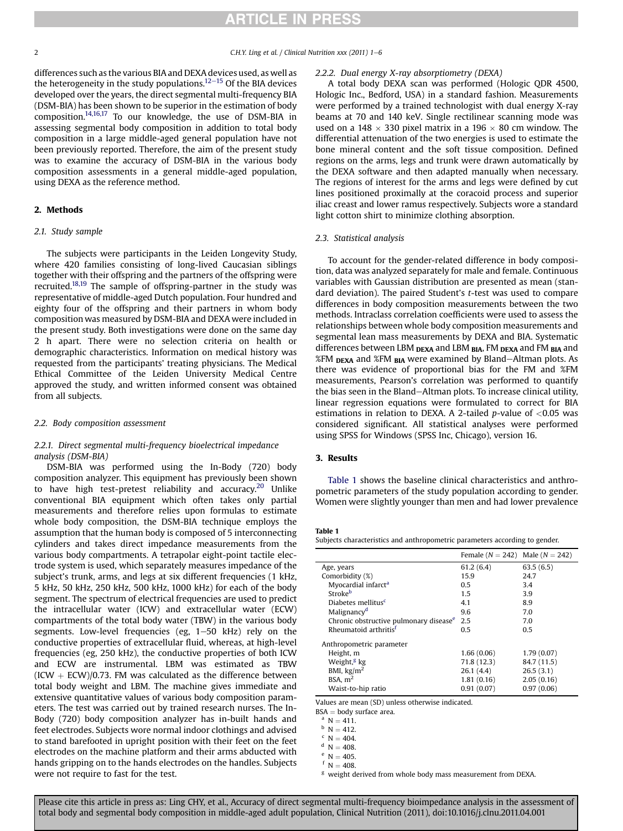differences such as the various BIA and DEXA devices used, as well as the heterogeneity in the study populations.<sup>[12](#page-4-0)–[15](#page-4-0)</sup> Of the BIA devices developed over the years, the direct segmental multi-frequency BIA (DSM-BIA) has been shown to be superior in the estimation of body composition.[14,16,17](#page-4-0) To our knowledge, the use of DSM-BIA in assessing segmental body composition in addition to total body composition in a large middle-aged general population have not been previously reported. Therefore, the aim of the present study was to examine the accuracy of DSM-BIA in the various body composition assessments in a general middle-aged population, using DEXA as the reference method.

## 2. Methods

### 2.1. Study sample

The subjects were participants in the Leiden Longevity Study, where 420 families consisting of long-lived Caucasian siblings together with their offspring and the partners of the offspring were recruited[.18,19](#page-4-0) The sample of offspring-partner in the study was representative of middle-aged Dutch population. Four hundred and eighty four of the offspring and their partners in whom body composition was measured by DSM-BIA and DEXA were included in the present study. Both investigations were done on the same day 2 h apart. There were no selection criteria on health or demographic characteristics. Information on medical history was requested from the participants' treating physicians. The Medical Ethical Committee of the Leiden University Medical Centre approved the study, and written informed consent was obtained from all subjects.

### 2.2. Body composition assessment

## 2.2.1. Direct segmental multi-frequency bioelectrical impedance analysis (DSM-BIA)

DSM-BIA was performed using the In-Body (720) body composition analyzer. This equipment has previously been shown to have high test-pretest reliability and accuracy.<sup>20</sup> Unlike conventional BIA equipment which often takes only partial measurements and therefore relies upon formulas to estimate whole body composition, the DSM-BIA technique employs the assumption that the human body is composed of 5 interconnecting cylinders and takes direct impedance measurements from the various body compartments. A tetrapolar eight-point tactile electrode system is used, which separately measures impedance of the subject's trunk, arms, and legs at six different frequencies (1 kHz, 5 kHz, 50 kHz, 250 kHz, 500 kHz, 1000 kHz) for each of the body segment. The spectrum of electrical frequencies are used to predict the intracellular water (ICW) and extracellular water (ECW) compartments of the total body water (TBW) in the various body segments. Low-level frequencies (eg,  $1-50$  kHz) rely on the conductive properties of extracellular fluid, whereas, at high-level frequencies (eg, 250 kHz), the conductive properties of both ICW and ECW are instrumental. LBM was estimated as TBW  $(ICW + ECW)/0.73$ . FM was calculated as the difference between total body weight and LBM. The machine gives immediate and extensive quantitative values of various body composition parameters. The test was carried out by trained research nurses. The In-Body (720) body composition analyzer has in-built hands and feet electrodes. Subjects wore normal indoor clothings and advised to stand barefooted in upright position with their feet on the feet electrodes on the machine platform and their arms abducted with hands gripping on to the hands electrodes on the handles. Subjects were not require to fast for the test.

## 2.2.2. Dual energy X-ray absorptiometry (DEXA)

A total body DEXA scan was performed (Hologic QDR 4500, Hologic Inc., Bedford, USA) in a standard fashion. Measurements were performed by a trained technologist with dual energy X-ray beams at 70 and 140 keV. Single rectilinear scanning mode was used on a 148  $\times$  330 pixel matrix in a 196  $\times$  80 cm window. The differential attenuation of the two energies is used to estimate the bone mineral content and the soft tissue composition. Defined regions on the arms, legs and trunk were drawn automatically by the DEXA software and then adapted manually when necessary. The regions of interest for the arms and legs were defined by cut lines positioned proximally at the coracoid process and superior iliac creast and lower ramus respectively. Subjects wore a standard light cotton shirt to minimize clothing absorption.

## 2.3. Statistical analysis

To account for the gender-related difference in body composition, data was analyzed separately for male and female. Continuous variables with Gaussian distribution are presented as mean (standard deviation). The paired Student's t-test was used to compare differences in body composition measurements between the two methods. Intraclass correlation coefficients were used to assess the relationships between whole body composition measurements and segmental lean mass measurements by DEXA and BIA. Systematic differences between LBM DEXA and LBM BIA, FM DEXA and FM BIA and %FM DEXA and %FM BIA were examined by Bland-Altman plots. As there was evidence of proportional bias for the FM and %FM measurements, Pearson's correlation was performed to quantify the bias seen in the Bland-Altman plots. To increase clinical utility, linear regression equations were formulated to correct for BIA estimations in relation to DEXA. A 2-tailed p-value of  $<$ 0.05 was considered significant. All statistical analyses were performed using SPSS for Windows (SPSS Inc, Chicago), version 16.

### 3. Results

Table 1 shows the baseline clinical characteristics and anthropometric parameters of the study population according to gender. Women were slightly younger than men and had lower prevalence

### Table 1 Subjects characteristics and anthropometric parameters according to gender.

|                                                    | Female $(N = 242)$ Male $(N = 242)$ |             |
|----------------------------------------------------|-------------------------------------|-------------|
| Age, years                                         | 61.2(6.4)                           | 63.5(6.5)   |
| Comorbidity (%)                                    | 15.9                                | 24.7        |
| Myocardial infarct <sup>a</sup>                    | 0.5                                 | 3.4         |
| Strokeb                                            | 1.5                                 | 3.9         |
| Diabetes mellitus <sup>c</sup>                     | 4.1                                 | 8.9         |
| Malignancy <sup>d</sup>                            | 9.6                                 | 7.0         |
| Chronic obstructive pulmonary disease <sup>e</sup> | 2.5                                 | 7.0         |
| Rheumatoid arthritis <sup>f</sup>                  | 0.5                                 | 0.5         |
| Anthropometric parameter                           |                                     |             |
| Height, m                                          | 1.66(0.06)                          | 1.79(0.07)  |
| Weight, <sup>g</sup> kg                            | 71.8 (12.3)                         | 84.7 (11.5) |
| BMI, $\text{kg/m}^2$                               | 26.1(4.4)                           | 26.5(3.1)   |
| BSA. $m2$                                          | 1.81(0.16)                          | 2.05(0.16)  |
| Waist-to-hip ratio                                 | 0.91(0.07)                          | 0.97(0.06)  |

Values are mean (SD) unless otherwise indicated.

BSA = body surface area.<br>
<sup>a</sup> N = 411.<br>
<sup>b</sup> N = 404.<br>
<sup>c</sup> N = 408.<br>
<sup>e</sup> N = 408.<br>
<sup>f</sup> N = 408.<br>
<sup>g</sup> weight derived from whole body mass measurement from DEXA.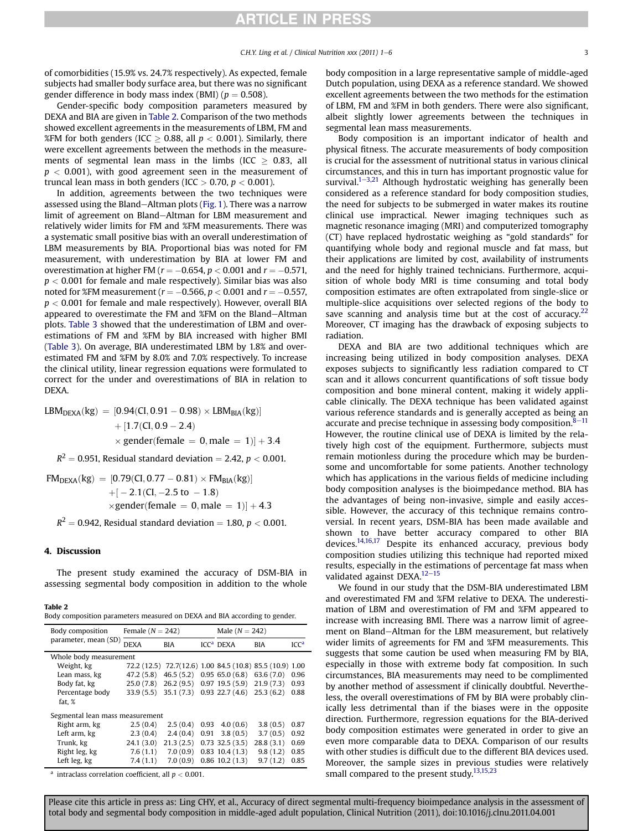of comorbidities (15.9% vs. 24.7% respectively). As expected, female subjects had smaller body surface area, but there was no significant gender difference in body mass index (BMI) ( $p = 0.508$ ).

Gender-specific body composition parameters measured by DEXA and BIA are given in Table 2. Comparison of the two methods showed excellent agreements in the measurements of LBM, FM and %FM for both genders (ICC  $\geq$  0.88, all  $p <$  0.001). Similarly, there were excellent agreements between the methods in the measurements of segmental lean mass in the limbs (ICC  $\geq$  0.83, all  $p < 0.001$ ), with good agreement seen in the measurement of truncal lean mass in both genders (ICC  $> 0.70$ ,  $p < 0.001$ ).

In addition, agreements between the two techniques were assessed using the Bland-Altman plots [\(Fig. 1\)](#page-3-0). There was a narrow limit of agreement on Bland-Altman for LBM measurement and relatively wider limits for FM and %FM measurements. There was a systematic small positive bias with an overall underestimation of LBM measurements by BIA. Proportional bias was noted for FM measurement, with underestimation by BIA at lower FM and overestimation at higher FM ( $r = -0.654$ ,  $p < 0.001$  and  $r = -0.571$ ,  $p < 0.001$  for female and male respectively). Similar bias was also noted for %FM measurement ( $r = -0.566$ ,  $p < 0.001$  and  $r = -0.557$ ,  $p < 0.001$  for female and male respectively). However, overall BIA appeared to overestimate the FM and %FM on the Bland-Altman plots. [Table 3](#page-3-0) showed that the underestimation of LBM and overestimations of FM and %FM by BIA increased with higher BMI ([Table 3](#page-3-0)). On average, BIA underestimated LBM by 1.8% and overestimated FM and %FM by 8.0% and 7.0% respectively. To increase the clinical utility, linear regression equations were formulated to correct for the under and overestimations of BIA in relation to DEXA.

$$
LBM_{DEXA}(kg) = [0.94(CI, 0.91 - 0.98) \times LBM_{BIA}(kg)] + [1.7(CI, 0.9 - 2.4) \times gender(female = 0, male = 1)] + 3.4
$$

 $R^2 = 0.951$ , Residual standard deviation = 2.42,  $p < 0.001$ .

 $FM_{DEXA}(kg) = [0.79(CI, 0.77 - 0.81) \times FM_{BIA}(kg)]$  $+[-2.1(CI, -2.5$  to  $-1.8)$  $\times$ gender(female = 0, male = 1)] + 4.3

 $R^{2} = 0.942$ , Residual standard deviation = 1.80, p < 0.001.

### 4. Discussion

The present study examined the accuracy of DSM-BIA in assessing segmental body composition in addition to the whole

Table 2

|  |  | Body composition parameters measured on DEXA and BIA according to gender. |  |  |  |  |  |  |  |  |  |  |  |
|--|--|---------------------------------------------------------------------------|--|--|--|--|--|--|--|--|--|--|--|
|--|--|---------------------------------------------------------------------------|--|--|--|--|--|--|--|--|--|--|--|

| Body composition                | Female $(N = 242)$ |                                                           | Male $(N = 242)$ |                       |            |                  |  |
|---------------------------------|--------------------|-----------------------------------------------------------|------------------|-----------------------|------------|------------------|--|
| parameter, mean (SD)            | <b>DEXA</b>        | <b>BIA</b>                                                |                  | ICC <sup>a</sup> DEXA | <b>BIA</b> | ICC <sup>a</sup> |  |
| Whole body measurement          |                    |                                                           |                  |                       |            |                  |  |
| Weight, kg                      |                    | 72.2 (12.5) 72.7 (12.6) 1.00 84.5 (10.8) 85.5 (10.9) 1.00 |                  |                       |            |                  |  |
| Lean mass, kg                   | 47.2(5.8)          | $46.5(5.2)$ 0.95 65.0 (6.8)                               |                  |                       | 63.6(7.0)  | 0.96             |  |
| Body fat, kg                    | 25.0(7.8)          | 26.2(9.5)                                                 |                  | $0.97$ 19.5 (5.9)     | 21.9(7.3)  | 0.93             |  |
| Percentage body                 | 33.9(5.5)          | 35.1(7.3)                                                 |                  | $0.93$ 22.7 (4.6)     | 25.3(6.2)  | 0.88             |  |
| fat, %                          |                    |                                                           |                  |                       |            |                  |  |
| Segmental lean mass measurement |                    |                                                           |                  |                       |            |                  |  |
| Right arm, kg                   | 2.5(0.4)           | 2.5(0.4)                                                  | 0.93             | 4.0(0.6)              | 3.8(0.5)   | 0.87             |  |
| Left arm, kg                    | 2.3(0.4)           | 2.4(0.4)                                                  | 0.91             | 3.8(0.5)              | 3.7(0.5)   | 0.92             |  |
| Trunk, kg                       | 24.1(3.0)          | 21.3(2.5)                                                 |                  | $0.73$ 32.5 (3.5)     | 28.8(3.1)  | 0.69             |  |
| Right leg, kg                   | 7.6(1.1)           | 7.0(0.9)                                                  |                  | $0.83$ 10.4 (1.3)     | 9.8(1.2)   | 0.85             |  |
| Left leg, kg                    | 7.4(1.1)           | 7.0(0.9)                                                  |                  | $0.86$ 10.2 (1.3)     | 9.7(1.2)   | 0.85             |  |

<sup>a</sup> intraclass correlation coefficient, all  $p < 0.001$ .

body composition in a large representative sample of middle-aged Dutch population, using DEXA as a reference standard. We showed excellent agreements between the two methods for the estimation of LBM, FM and %FM in both genders. There were also significant, albeit slightly lower agreements between the techniques in segmental lean mass measurements.

Body composition is an important indicator of health and physical fitness. The accurate measurements of body composition is crucial for the assessment of nutritional status in various clinical circumstances, and this in turn has important prognostic value for survival. $1-3,21$  $1-3,21$  Although hydrostatic weighing has generally been considered as a reference standard for body composition studies, the need for subjects to be submerged in water makes its routine clinical use impractical. Newer imaging techniques such as magnetic resonance imaging (MRI) and computerized tomography (CT) have replaced hydrostatic weighing as "gold standards" for quantifying whole body and regional muscle and fat mass, but their applications are limited by cost, availability of instruments and the need for highly trained technicians. Furthermore, acquisition of whole body MRI is time consuming and total body composition estimates are often extrapolated from single-slice or multiple-slice acquisitions over selected regions of the body to save scanning and analysis time but at the cost of accuracy. $22$ Moreover, CT imaging has the drawback of exposing subjects to radiation.

DEXA and BIA are two additional techniques which are increasing being utilized in body composition analyses. DEXA exposes subjects to significantly less radiation compared to CT scan and it allows concurrent quantifications of soft tissue body composition and bone mineral content, making it widely applicable clinically. The DEXA technique has been validated against various reference standards and is generally accepted as being an accurate and precise technique in assessing body composition. $8-11$  $8-11$  $8-11$ However, the routine clinical use of DEXA is limited by the relatively high cost of the equipment. Furthermore, subjects must remain motionless during the procedure which may be burdensome and uncomfortable for some patients. Another technology which has applications in the various fields of medicine including body composition analyses is the bioimpedance method. BIA has the advantages of being non-invasive, simple and easily accessible. However, the accuracy of this technique remains controversial. In recent years, DSM-BIA has been made available and shown to have better accuracy compared to other BIA devices.[14,16,17](#page-4-0) Despite its enhanced accuracy, previous body composition studies utilizing this technique had reported mixed results, especially in the estimations of percentage fat mass when validated against DEXA. $12-15$  $12-15$ 

We found in our study that the DSM-BIA underestimated LBM and overestimated FM and %FM relative to DEXA. The underestimation of LBM and overestimation of FM and %FM appeared to increase with increasing BMI. There was a narrow limit of agreement on Bland-Altman for the LBM measurement, but relatively wider limits of agreements for FM and %FM measurements. This suggests that some caution be used when measuring FM by BIA, especially in those with extreme body fat composition. In such circumstances, BIA measurements may need to be complimented by another method of assessment if clinically doubtful. Nevertheless, the overall overestimations of FM by BIA were probably clinically less detrimental than if the biases were in the opposite direction. Furthermore, regression equations for the BIA-derived body composition estimates were generated in order to give an even more comparable data to DEXA. Comparison of our results with other studies is difficult due to the different BIA devices used. Moreover, the sample sizes in previous studies were relatively small compared to the present study.<sup>[13,15,23](#page-4-0)</sup>

Please cite this article in press as: Ling CHY, et al., Accuracy of direct segmental multi-frequency bioimpedance analysis in the assessment of total body and segmental body composition in middle-aged adult population, Clinical Nutrition (2011), doi:10.1016/j.clnu.2011.04.001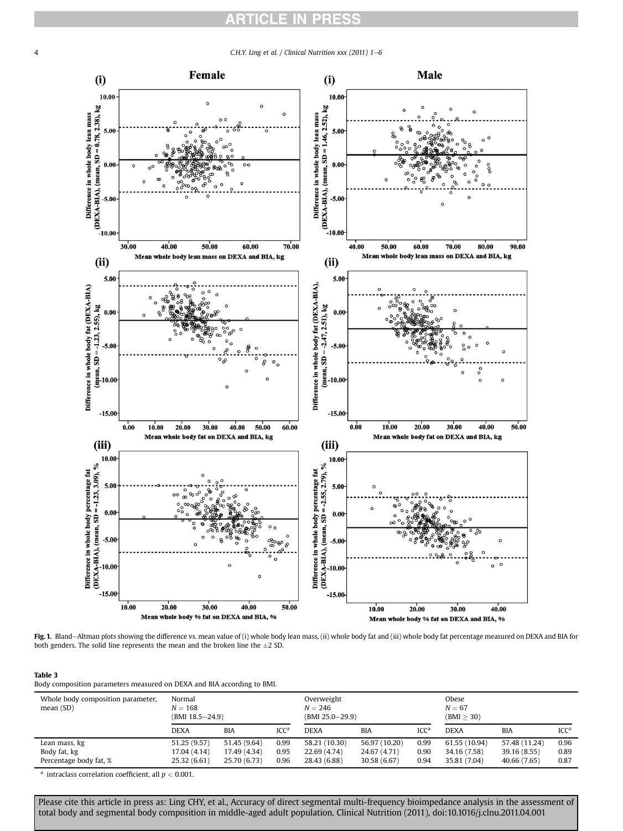<span id="page-3-0"></span>4 C.H.Y. Ling et al. / Clinical Nutrition xxx (2011) 1-6



Fig. 1. Bland-Altman plots showing the difference vs. mean value of (i) whole body lean mass, (ii) whole body fat and (iii) whole body fat percentage measured on DEXA and BIA for both genders. The solid line represents the mean and the broken line the  $\pm 2$  SD.

#### Table 3

Body composition parameters measured on DEXA and BIA according to BMI.

| Whole body composition parameter,<br>mean(SD) | Normal<br>$N = 168$<br>$(BMI 18.5 - 24.9)$ |              | Overweight<br>$N = 246$<br>$(BMI 25.0 - 29.9)$ |               |               | Obese<br>$N = 67$<br>(BMI > 30) |               |               |                  |
|-----------------------------------------------|--------------------------------------------|--------------|------------------------------------------------|---------------|---------------|---------------------------------|---------------|---------------|------------------|
|                                               | <b>DEXA</b>                                | <b>BIA</b>   | ICC <sup>a</sup>                               | <b>DEXA</b>   | <b>BIA</b>    | ICC <sup>a</sup>                | <b>DEXA</b>   | BIA           | ICC <sup>a</sup> |
| Lean mass, kg                                 | 51.25 (9.57)                               | 51.45 (9.64) | 0.99                                           | 58.21 (10.30) | 56.97 (10.20) | 0.99                            | 61.55 (10.94) | 57.48 (11.24) | 0.96             |
| Body fat, kg                                  | 17.04 (4.14)                               | 17.49 (4.34) | 0.95                                           | 22.69 (4.74)  | 24.67 (4.71)  | 0.90                            | 34.16 (7.58)  | 39.16 (8.55)  | 0.89             |
| Percentage body fat, %                        | 25.32 (6.61)                               | 25.70 (6.73) | 0.96                                           | 28.43 (6.88)  | 30.58 (6.67)  | 0.94                            | 35.81 (7.04)  | 40.66 (7.65)  | 0.87             |

 $^{\rm a}$  intraclass correlation coefficient, all  $p < 0.001.$ 

Please cite this article in press as: Ling CHY, et al., Accuracy of direct segmental multi-frequency bioimpedance analysis in the assessment of total body and segmental body composition in middle-aged adult population, Clinical Nutrition (2011), doi:10.1016/j.clnu.2011.04.001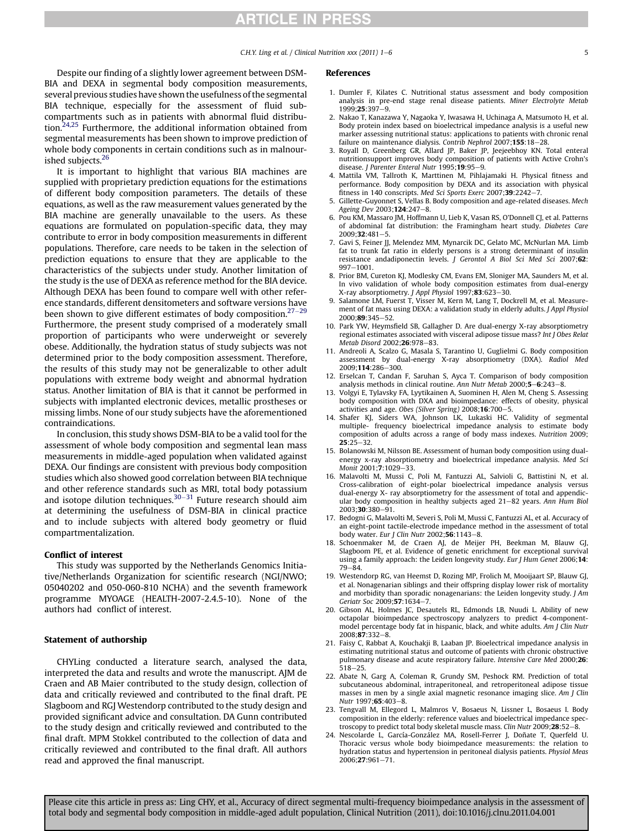### $C.H.Y.$  Ling et al. / Clinical Nutrition  $xxx(2011)$   $1-6$  5

<span id="page-4-0"></span>Despite our finding of a slightly lower agreement between DSM-BIA and DEXA in segmental body composition measurements, several previous studies have shown the usefulness of the segmental BIA technique, especially for the assessment of fluid subcompartments such as in patients with abnormal fluid distribution.24,25 Furthermore, the additional information obtained from segmental measurements has been shown to improve prediction of whole body components in certain conditions such as in malnourished subjects.<sup>26</sup>

It is important to highlight that various BIA machines are supplied with proprietary prediction equations for the estimations of different body composition parameters. The details of these equations, as well as the raw measurement values generated by the BIA machine are generally unavailable to the users. As these equations are formulated on population-specific data, they may contribute to error in body composition measurements in different populations. Therefore, care needs to be taken in the selection of prediction equations to ensure that they are applicable to the characteristics of the subjects under study. Another limitation of the study is the use of DEXA as reference method for the BIA device. Although DEXA has been found to compare well with other reference standards, different densitometers and software versions have been shown to give different estimates of body composition. $27-29$  $27-29$  $27-29$ Furthermore, the present study comprised of a moderately small proportion of participants who were underweight or severely obese. Additionally, the hydration status of study subjects was not determined prior to the body composition assessment. Therefore, the results of this study may not be generalizable to other adult populations with extreme body weight and abnormal hydration status. Another limitation of BIA is that it cannot be performed in subjects with implanted electronic devices, metallic prostheses or missing limbs. None of our study subjects have the aforementioned contraindications.

In conclusion, this study shows DSM-BIA to be a valid tool for the assessment of whole body composition and segmental lean mass measurements in middle-aged population when validated against DEXA. Our findings are consistent with previous body composition studies which also showed good correlation between BIA technique and other reference standards such as MRI, total body potassium and isotope dilution techniques. $30-31$  $30-31$  Future research should aim at determining the usefulness of DSM-BIA in clinical practice and to include subjects with altered body geometry or fluid compartmentalization.

### Conflict of interest

This study was supported by the Netherlands Genomics Initiative/Netherlands Organization for scientific research (NGI/NWO; 05040202 and 050-060-810 NCHA) and the seventh framework programme MYOAGE (HEALTH-2007-2.4.5-10). None of the authors had conflict of interest.

#### Statement of authorship

CHYLing conducted a literature search, analysed the data, interpreted the data and results and wrote the manuscript. AJM de Craen and AB Maier contributed to the study design, collection of data and critically reviewed and contributed to the final draft. PE Slagboom and RGJ Westendorp contributed to the study design and provided significant advice and consultation. DA Gunn contributed to the study design and critically reviewed and contributed to the final draft. MPM Stokkel contributed to the collection of data and critically reviewed and contributed to the final draft. All authors read and approved the final manuscript.

#### References

- 1. Dumler F, Kilates C. Nutritional status assessment and body composition analysis in pre-end stage renal disease patients. Miner Electrolyte Metab 1999:25:397-9.
- 2. Nakao T, Kanazawa Y, Nagaoka Y, Iwasawa H, Uchinaga A, Matsumoto H, et al. Body protein index based on bioelectrical impedance analysis is a useful new marker assessing nutritional status: applications to patients with chronic renal failure on maintenance dialysis. Contrib Nephrol 2007;155:18-28.
- 3. Royall D, Greenberg GR, Allard JP, Baker JP, Jeejeebhoy KN. Total enteral nutritionsupport improves body composition of patients with Active Crohn's disease. J Parenter Enteral Nutr 1995;19:95-9.
- 4. Mattila VM, Tallroth K, Marttinen M, Pihlajamaki H. Physical fitness and performance. Body composition by DEXA and its association with physical fitness in 140 conscripts. Med Sci Sports Exerc 2007;39:2242-7.
- 5. Gillette-Guyonnet S, Vellas B. Body composition and age-related diseases. Mech Ageing Dev 2003:124:247-8.
- 6. Pou KM, Massaro JM, Hoffmann U, Lieb K, Vasan RS, O'Donnell CJ, et al. Patterns of abdominal fat distribution: the Framingham heart study. Diabetes Care  $2009:32:481-5$
- 7. Gavi S, Feiner JJ, Melendez MM, Mynarcik DC, Gelato MC, McNurlan MA. Limb fat to trunk fat ratio in elderly persons is a strong determinant of insulin resistance andadiponectin levels. J Gerontol A Biol Sci Med Sci 2007;62:  $997 - 1001$ .
- 8. Prior BM, Cureton KJ, Modlesky CM, Evans EM, Sloniger MA, Saunders M, et al. In vivo validation of whole body composition estimates from dual-energy X-ray absorptiometry. J Appl Physiol 1997;83:623-30.
- 9. Salamone LM, Fuerst T, Visser M, Kern M, Lang T, Dockrell M, et al. Measurement of fat mass using DEXA: a validation study in elderly adults. J Appl Physiol 2000;89:345-52.
- 10. Park YW, Heymsfield SB, Gallagher D. Are dual-energy X-ray absorptiometry regional estimates associated with visceral adipose tissue mass? Int J Obes Relat Metab Disord 2002;26:978-83.
- 11. Andreoli A, Scalzo G, Masala S, Tarantino U, Guglielmi G. Body composition assessment by dual-energy X-ray absorptiometry (DXA). Radiol Med 2009;114:286-300.
- 12. Erselcan T, Candan F, Saruhan S, Ayca T. Comparison of body composition analysis methods in clinical routine. Ann Nutr Metab  $2000; 5-6:243-8$ .
- 13. Volgyi E, Tylavsky FA, Lyytikainen A, Suominen H, Alen M, Cheng S. Assessing body composition with DXA and bioimpedance: effects of obesity, physical activities and age. Obes (Silver Spring) 2008;16:700-5.
- 14. Shafer KJ, Siders WA, Johnson LK, Lukaski HC. Validity of segmental multiple- frequency bioelectrical impedance analysis to estimate body composition of adults across a range of body mass indexes. Nutrition 2009;  $25:25 - 32.$
- 15. Bolanowski M, Nilsson BE. Assessment of human body composition using dualenergy x-ray absorptiometry and bioelectrical impedance analysis. Med Sci Monit 2001;7:1029-33.
- Malavolti M, Mussi C, Poli M, Fantuzzi AL, Salvioli G, Battistini N, et al. Cross-calibration of eight-polar bioelectrical impedance analysis versus dual-energy X- ray absorptiometry for the assessment of total and appendicular body composition in healthy subjects aged 21-82 years. Ann Hum Biol  $2003;30:380 - 91.$
- 17. Bedogni G, Malavolti M, Severi S, Poli M, Mussi C, Fantuzzi AL, et al. Accuracy of an eight-point tactile-electrode impedance method in the assessment of total body water. Eur J Clin Nutr 2002; $56:1143-8$ .
- 18. Schoenmaker M, de Craen AJ, de Meijer PH, Beekman M, Blauw GJ, Slagboom PE, et al. Evidence of genetic enrichment for exceptional survival using a family approach: the Leiden longevity study. Eur J Hum Genet 2006;14:  $79 - 84.$
- 19. Westendorp RG, van Heemst D, Rozing MP, Frolich M, Mooijaart SP, Blauw GJ, et al. Nonagenarian siblings and their offspring display lower risk of mortality and morbidity than sporadic nonagenarians: the Leiden longevity study. J Am Geriatr Soc 2009:57:1634-7.
- 20. Gibson AL, Holmes JC, Desautels RL, Edmonds LB, Nuudi L. Ability of new octapolar bioimpedance spectroscopy analyzers to predict 4-componentmodel percentage body fat in hispanic, black, and white adults. Am J Clin Nutr  $2008.87.332 - 8$
- 21. Faisy C, Rabbat A, Kouchakji B, Laaban JP. Bioelectrical impedance analysis in estimating nutritional status and outcome of patients with chronic obstructive pulmonary disease and acute respiratory failure. Intensive Care Med 2000;26:  $518 - 25.$
- 22. Abate N, Garg A, Coleman R, Grundy SM, Peshock RM. Prediction of total subcutaneous abdominal, intraperitoneal, and retroperitoneal adipose tissue masses in men by a single axial magnetic resonance imaging slice. Am J Clin Nutr  $1997:65:403-8$ .
- 23. Tengvall M, Ellegord L, Malmros V, Bosaeus N, Lissner L, Bosaeus I. Body composition in the elderly: reference values and bioelectrical impedance spectroscopy to predict total body skeletal muscle mass. Clin Nutr 2009; $28:52-8$ .
- 24. Nescolarde L, García-González MA, Rosell-Ferrer J, Doñate T, Querfeld U. Thoracic versus whole body bioimpedance measurements: the relation to hydration status and hypertension in peritoneal dialysis patients. Physiol Meas 2006;27:961-71.